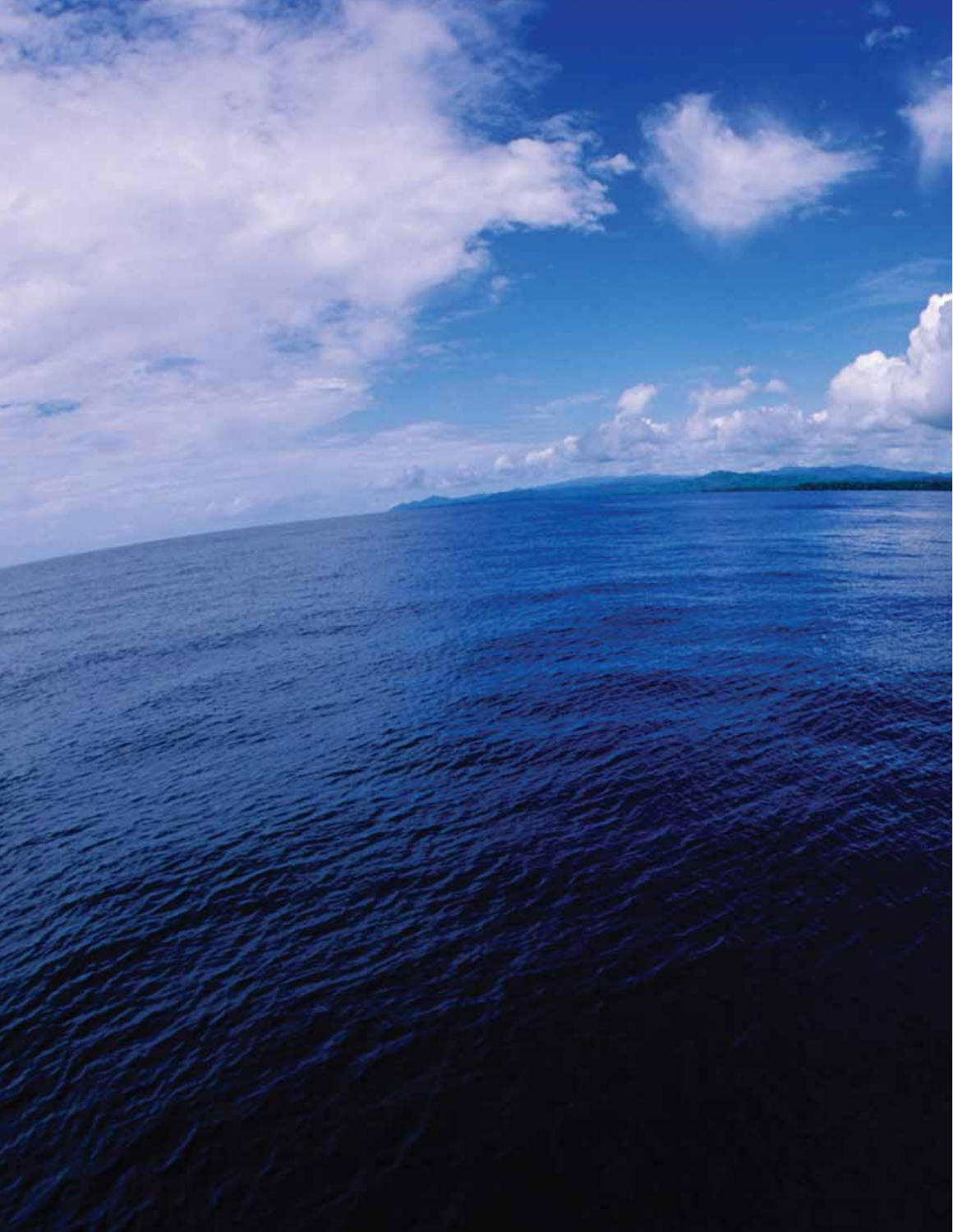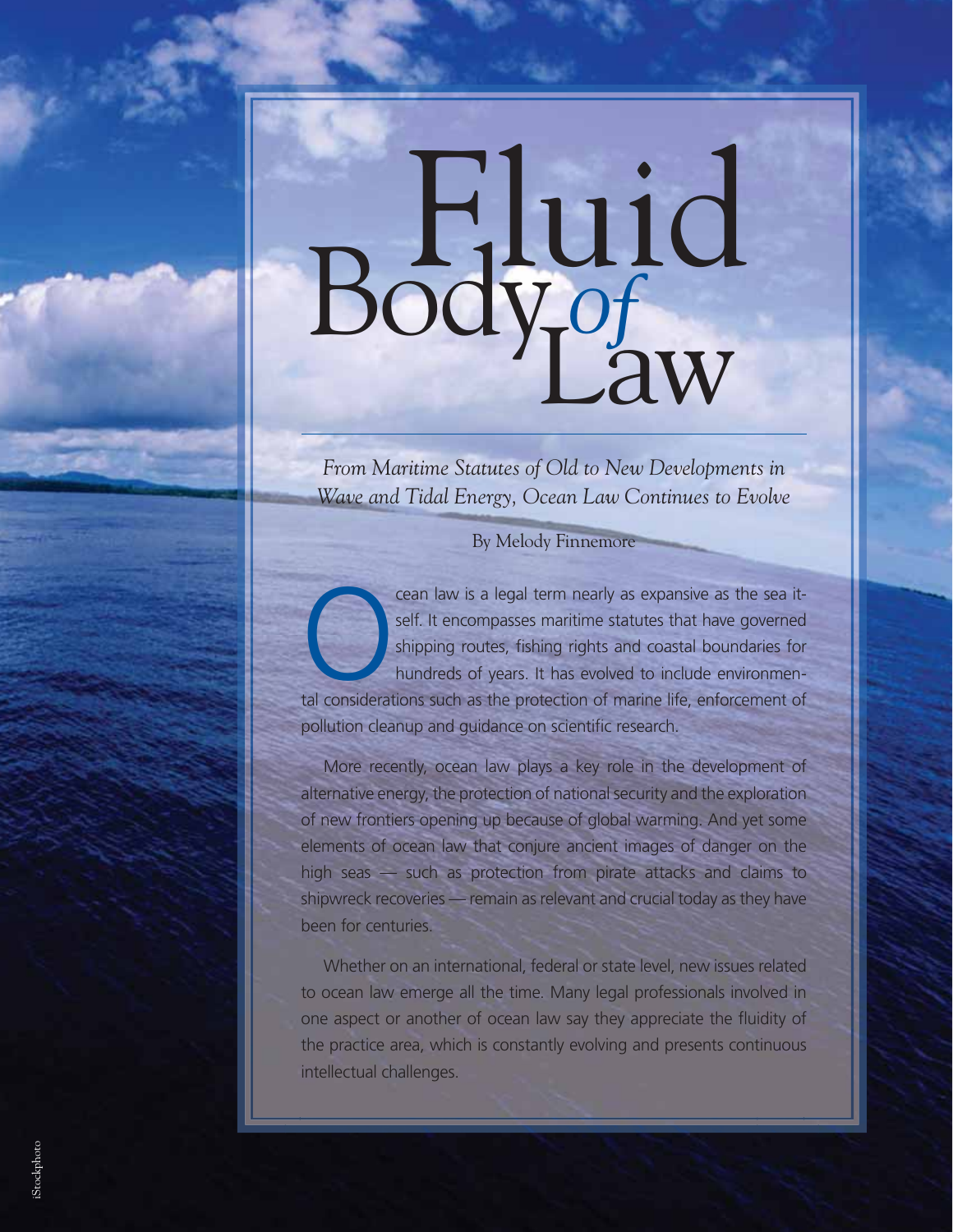# Fluid Body *of* Law

*From Maritime Statutes of Old to New Developments in Wave and Tidal Energy, Ocean Law Continues to Evolve*

### By Melody Finnemore



tal considerations such as the protection of marine life, enforcement of pollution cleanup and guidance on scientific research.

More recently, ocean law plays a key role in the development of alternative energy, the protection of national security and the exploration of new frontiers opening up because of global warming. And yet some elements of ocean law that conjure ancient images of danger on the high seas — such as protection from pirate attacks and claims to shipwreck recoveries — remain as relevant and crucial today as they have been for centuries.

Whether on an international, federal or state level, new issues related to ocean law emerge all the time. Many legal professionals involved in one aspect or another of ocean law say they appreciate the fluidity of the practice area, which is constantly evolving and presents continuous intellectual challenges.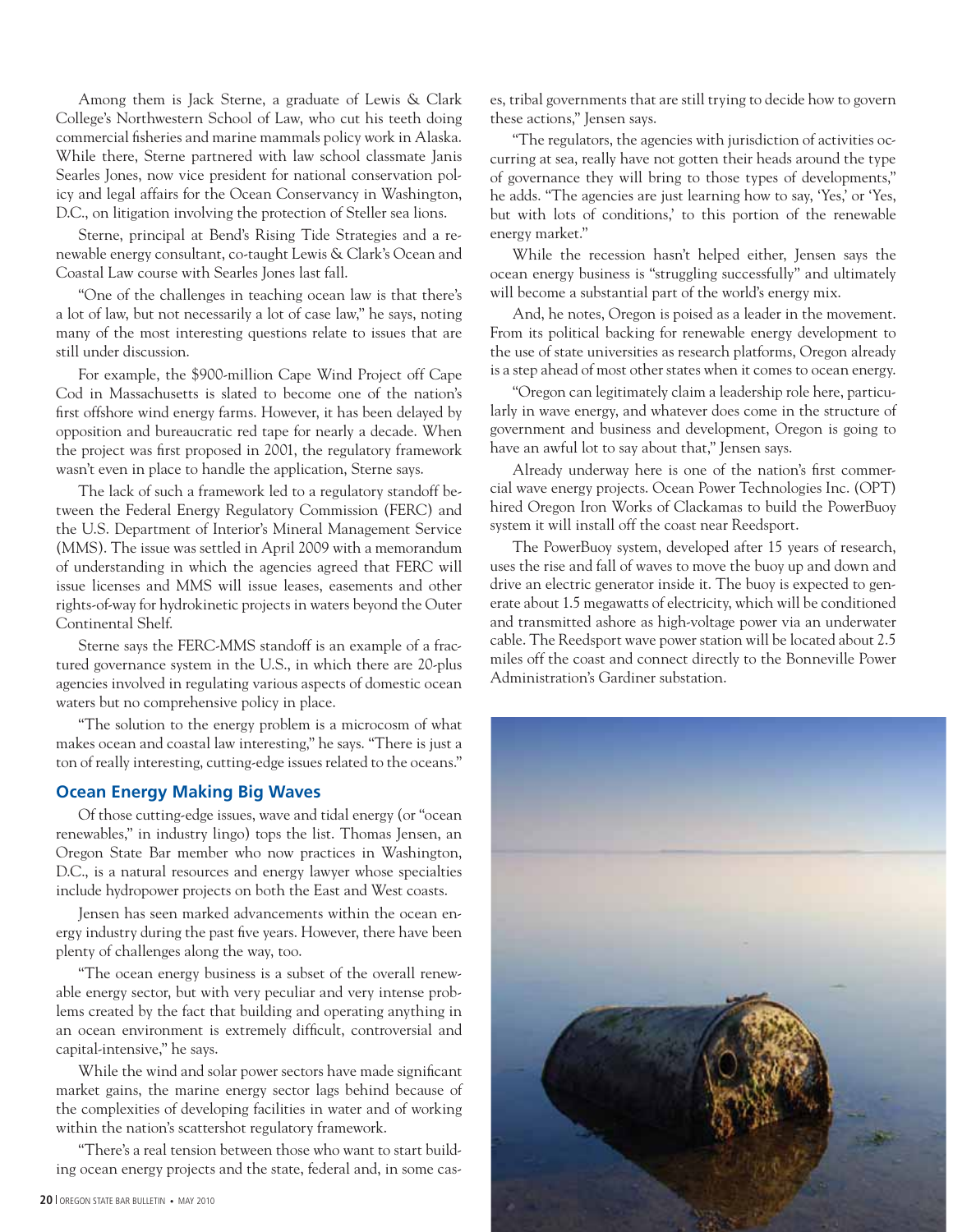Among them is Jack Sterne, a graduate of Lewis & Clark College's Northwestern School of Law, who cut his teeth doing commercial fisheries and marine mammals policy work in Alaska. While there, Sterne partnered with law school classmate Janis Searles Jones, now vice president for national conservation policy and legal affairs for the Ocean Conservancy in Washington, D.C., on litigation involving the protection of Steller sea lions.

Sterne, principal at Bend's Rising Tide Strategies and a renewable energy consultant, co-taught Lewis & Clark's Ocean and Coastal Law course with Searles Jones last fall.

"One of the challenges in teaching ocean law is that there's a lot of law, but not necessarily a lot of case law," he says, noting many of the most interesting questions relate to issues that are still under discussion.

For example, the \$900-million Cape Wind Project off Cape Cod in Massachusetts is slated to become one of the nation's first offshore wind energy farms. However, it has been delayed by opposition and bureaucratic red tape for nearly a decade. When the project was first proposed in 2001, the regulatory framework wasn't even in place to handle the application, Sterne says.

The lack of such a framework led to a regulatory standoff between the Federal Energy Regulatory Commission (FERC) and the U.S. Department of Interior's Mineral Management Service (MMS). The issue was settled in April 2009 with a memorandum of understanding in which the agencies agreed that FERC will issue licenses and MMS will issue leases, easements and other rights-of-way for hydrokinetic projects in waters beyond the Outer Continental Shelf.

Sterne says the FERC-MMS standoff is an example of a fractured governance system in the U.S., in which there are 20-plus agencies involved in regulating various aspects of domestic ocean waters but no comprehensive policy in place.

"The solution to the energy problem is a microcosm of what makes ocean and coastal law interesting," he says. "There is just a ton of really interesting, cutting-edge issues related to the oceans."

### **Ocean Energy Making Big Waves**

Of those cutting-edge issues, wave and tidal energy (or "ocean renewables," in industry lingo) tops the list. Thomas Jensen, an Oregon State Bar member who now practices in Washington, D.C., is a natural resources and energy lawyer whose specialties include hydropower projects on both the East and West coasts.

Jensen has seen marked advancements within the ocean energy industry during the past five years. However, there have been plenty of challenges along the way, too.

"The ocean energy business is a subset of the overall renewable energy sector, but with very peculiar and very intense problems created by the fact that building and operating anything in an ocean environment is extremely difficult, controversial and capital-intensive," he says.

While the wind and solar power sectors have made significant market gains, the marine energy sector lags behind because of the complexities of developing facilities in water and of working within the nation's scattershot regulatory framework.

"There's a real tension between those who want to start building ocean energy projects and the state, federal and, in some cases, tribal governments that are still trying to decide how to govern these actions," Jensen says.

"The regulators, the agencies with jurisdiction of activities occurring at sea, really have not gotten their heads around the type of governance they will bring to those types of developments," he adds. "The agencies are just learning how to say, 'Yes,' or 'Yes, but with lots of conditions,' to this portion of the renewable energy market."

While the recession hasn't helped either, Jensen says the ocean energy business is "struggling successfully" and ultimately will become a substantial part of the world's energy mix.

And, he notes, Oregon is poised as a leader in the movement. From its political backing for renewable energy development to the use of state universities as research platforms, Oregon already is a step ahead of most other states when it comes to ocean energy.

"Oregon can legitimately claim a leadership role here, particularly in wave energy, and whatever does come in the structure of government and business and development, Oregon is going to have an awful lot to say about that," Jensen says.

Already underway here is one of the nation's first commercial wave energy projects. Ocean Power Technologies Inc. (OPT) hired Oregon Iron Works of Clackamas to build the PowerBuoy system it will install off the coast near Reedsport.

The PowerBuoy system, developed after 15 years of research, uses the rise and fall of waves to move the buoy up and down and drive an electric generator inside it. The buoy is expected to generate about 1.5 megawatts of electricity, which will be conditioned and transmitted ashore as high-voltage power via an underwater cable. The Reedsport wave power station will be located about 2.5 miles off the coast and connect directly to the Bonneville Power Administration's Gardiner substation.

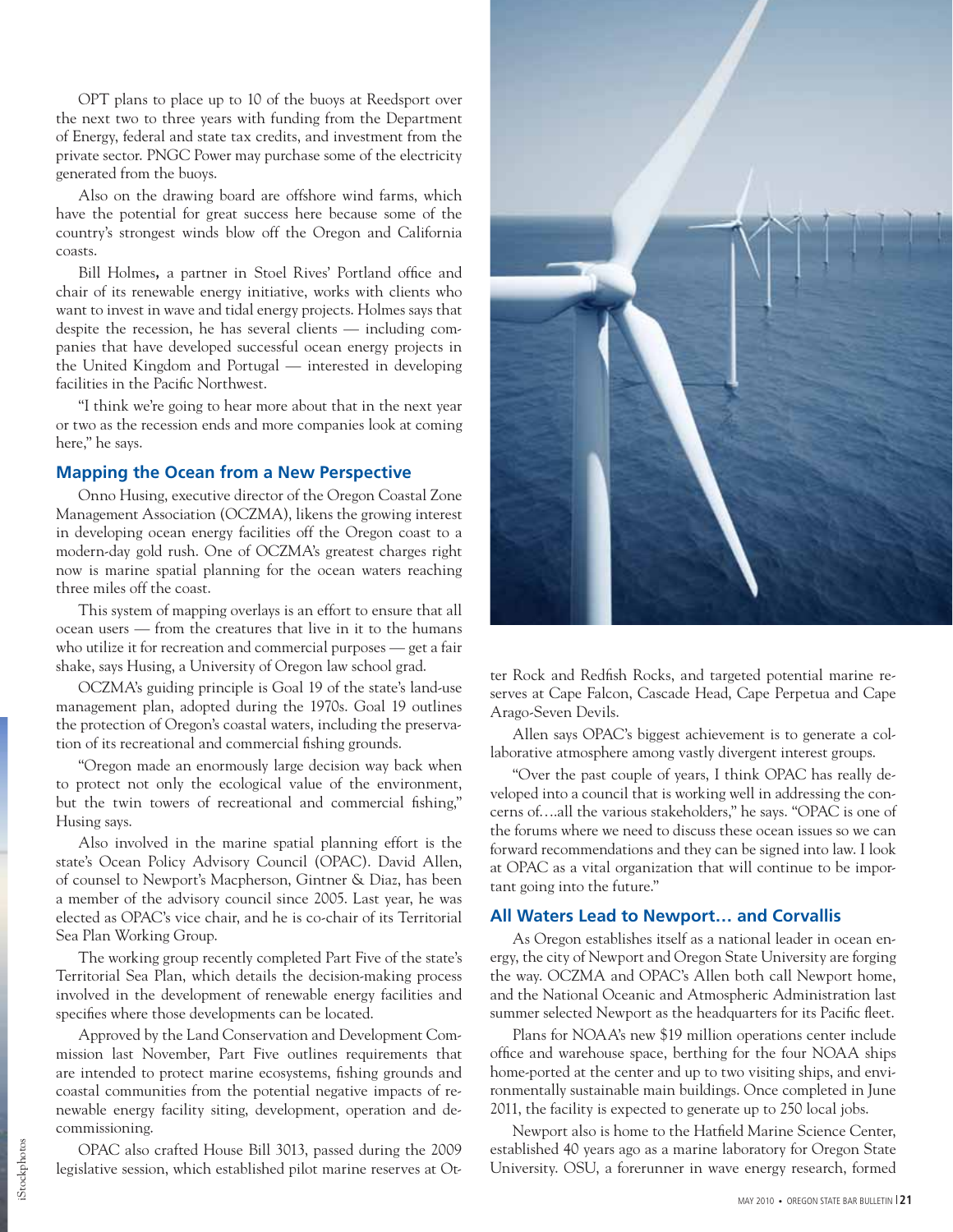OPT plans to place up to 10 of the buoys at Reedsport over the next two to three years with funding from the Department of Energy, federal and state tax credits, and investment from the private sector. PNGC Power may purchase some of the electricity generated from the buoys.

Also on the drawing board are offshore wind farms, which have the potential for great success here because some of the country's strongest winds blow off the Oregon and California coasts.

Bill Holmes, a partner in Stoel Rives' Portland office and chair of its renewable energy initiative, works with clients who want to invest in wave and tidal energy projects. Holmes says that despite the recession, he has several clients — including companies that have developed successful ocean energy projects in the United Kingdom and Portugal — interested in developing facilities in the Pacific Northwest.

"I think we're going to hear more about that in the next year or two as the recession ends and more companies look at coming here," he says.

### **Mapping the Ocean from a New Perspective**

Onno Husing, executive director of the Oregon Coastal Zone Management Association (OCZMA), likens the growing interest in developing ocean energy facilities off the Oregon coast to a modern-day gold rush. One of OCZMA's greatest charges right now is marine spatial planning for the ocean waters reaching three miles off the coast.

This system of mapping overlays is an effort to ensure that all ocean users — from the creatures that live in it to the humans who utilize it for recreation and commercial purposes — get a fair shake, says Husing, a University of Oregon law school grad.

OCZMA's guiding principle is Goal 19 of the state's land-use management plan, adopted during the 1970s. Goal 19 outlines the protection of Oregon's coastal waters, including the preservation of its recreational and commercial fishing grounds.

"Oregon made an enormously large decision way back when to protect not only the ecological value of the environment, but the twin towers of recreational and commercial fishing," Husing says.

Also involved in the marine spatial planning effort is the state's Ocean Policy Advisory Council (OPAC). David Allen, of counsel to Newport's Macpherson, Gintner & Diaz, has been a member of the advisory council since 2005. Last year, he was elected as OPAC's vice chair, and he is co-chair of its Territorial Sea Plan Working Group.

The working group recently completed Part Five of the state's Territorial Sea Plan, which details the decision-making process involved in the development of renewable energy facilities and specifies where those developments can be located.

Approved by the Land Conservation and Development Commission last November, Part Five outlines requirements that are intended to protect marine ecosystems, fishing grounds and coastal communities from the potential negative impacts of renewable energy facility siting, development, operation and decommissioning.

OPAC also crafted House Bill 3013, passed during the 2009 legislative session, which established pilot marine reserves at Ot-



ter Rock and Redfish Rocks, and targeted potential marine reserves at Cape Falcon, Cascade Head, Cape Perpetua and Cape Arago-Seven Devils.

Allen says OPAC's biggest achievement is to generate a collaborative atmosphere among vastly divergent interest groups.

"Over the past couple of years, I think OPAC has really developed into a council that is working well in addressing the concerns of….all the various stakeholders," he says. "OPAC is one of the forums where we need to discuss these ocean issues so we can forward recommendations and they can be signed into law. I look at OPAC as a vital organization that will continue to be important going into the future."

### **All Waters Lead to Newport… and Corvallis**

As Oregon establishes itself as a national leader in ocean energy, the city of Newport and Oregon State University are forging the way. OCZMA and OPAC's Allen both call Newport home, and the National Oceanic and Atmospheric Administration last summer selected Newport as the headquarters for its Pacific fleet.

Plans for NOAA's new \$19 million operations center include office and warehouse space, berthing for the four NOAA ships home-ported at the center and up to two visiting ships, and environmentally sustainable main buildings. Once completed in June 2011, the facility is expected to generate up to 250 local jobs.

Newport also is home to the Hatfield Marine Science Center, established 40 years ago as a marine laboratory for Oregon State University. OSU, a forerunner in wave energy research, formed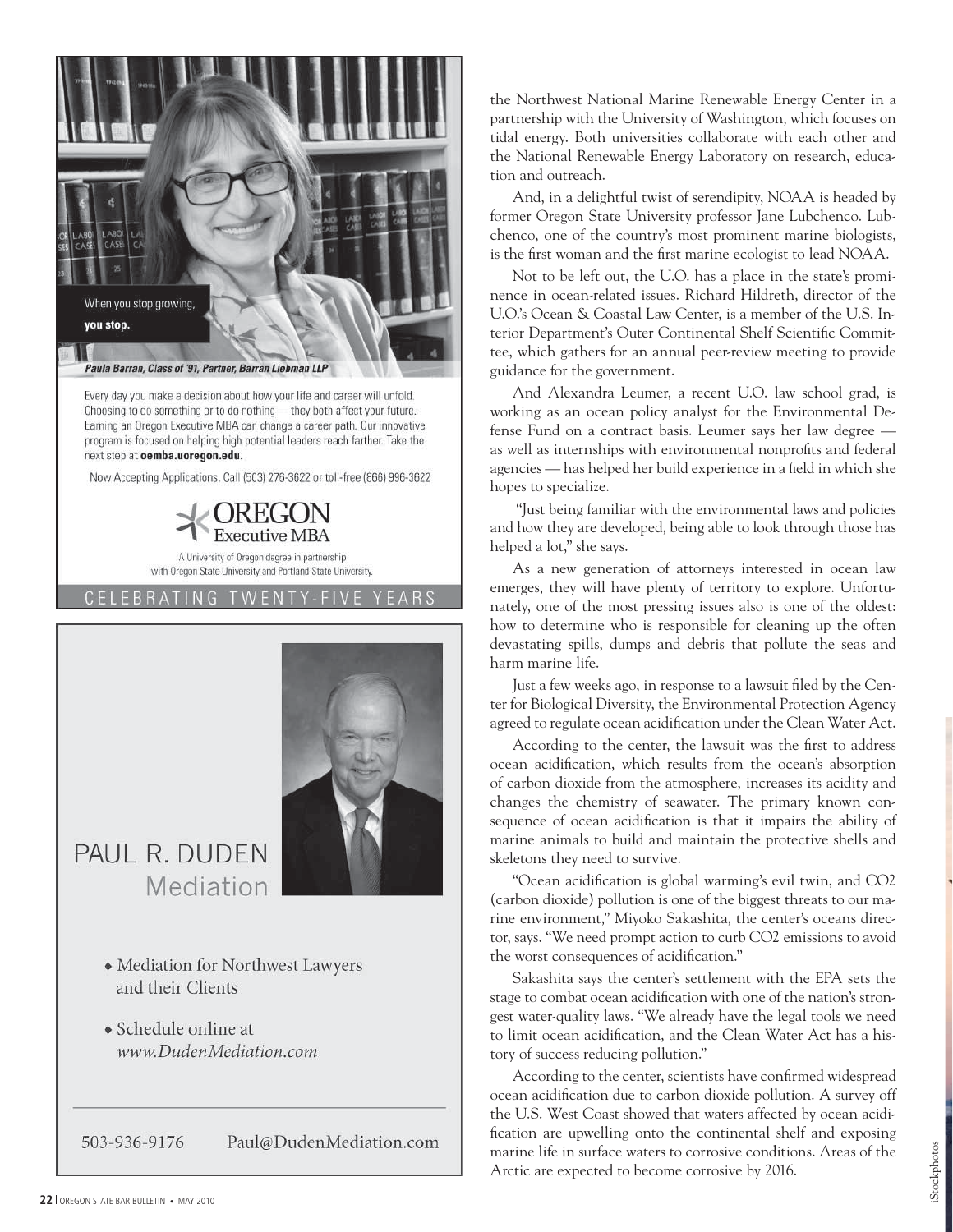

Choosing to do something or to do nothing-they both affect your future. Earning an Oregon Executive MBA can change a career path. Our innovative program is focused on helping high potential leaders reach farther. Take the next step at oemba.uoregon.edu.

Now Accepting Applications. Call (503) 276-3622 or toll-free (866) 996-3622



A University of Oregon degree in partnership with Oregon State University and Portland State University

YEARS CELEBRATING TWENTY-FIVE



# PAUL R. DUDEN Mediation

- Mediation for Northwest Lawyers and their Clients
- Schedule online at www.DudenMediation.com

Paul@DudenMediation.com 503-936-9176

the Northwest National Marine Renewable Energy Center in a partnership with the University of Washington, which focuses on tidal energy. Both universities collaborate with each other and the National Renewable Energy Laboratory on research, education and outreach.

And, in a delightful twist of serendipity, NOAA is headed by former Oregon State University professor Jane Lubchenco. Lubchenco, one of the country's most prominent marine biologists, is the first woman and the first marine ecologist to lead NOAA.

Not to be left out, the U.O. has a place in the state's prominence in ocean-related issues. Richard Hildreth, director of the U.O.'s Ocean & Coastal Law Center, is a member of the U.S. Interior Department's Outer Continental Shelf Scientific Committee, which gathers for an annual peer-review meeting to provide guidance for the government.

And Alexandra Leumer, a recent U.O. law school grad, is working as an ocean policy analyst for the Environmental Defense Fund on a contract basis. Leumer says her law degree as well as internships with environmental nonprofits and federal agencies — has helped her build experience in a field in which she hopes to specialize.

 "Just being familiar with the environmental laws and policies and how they are developed, being able to look through those has helped a lot," she says.

As a new generation of attorneys interested in ocean law emerges, they will have plenty of territory to explore. Unfortunately, one of the most pressing issues also is one of the oldest: how to determine who is responsible for cleaning up the often devastating spills, dumps and debris that pollute the seas and harm marine life.

Just a few weeks ago, in response to a lawsuit filed by the Center for Biological Diversity, the Environmental Protection Agency agreed to regulate ocean acidification under the Clean Water Act.

According to the center, the lawsuit was the first to address ocean acidification, which results from the ocean's absorption of carbon dioxide from the atmosphere, increases its acidity and changes the chemistry of seawater. The primary known consequence of ocean acidification is that it impairs the ability of marine animals to build and maintain the protective shells and skeletons they need to survive.

"Ocean acidification is global warming's evil twin, and CO2 (carbon dioxide) pollution is one of the biggest threats to our marine environment," Miyoko Sakashita, the center's oceans director, says. "We need prompt action to curb CO2 emissions to avoid the worst consequences of acidification."

Sakashita says the center's settlement with the EPA sets the stage to combat ocean acidification with one of the nation's strongest water-quality laws. "We already have the legal tools we need to limit ocean acidification, and the Clean Water Act has a history of success reducing pollution."

According to the center, scientists have confirmed widespread ocean acidification due to carbon dioxide pollution. A survey off the U.S. West Coast showed that waters affected by ocean acidi fication are upwelling onto the continental shelf and exposing marine life in surface waters to corrosive conditions. Areas of the Arctic are expected to become corrosive by 2016.

iStockphotos

Stockphotos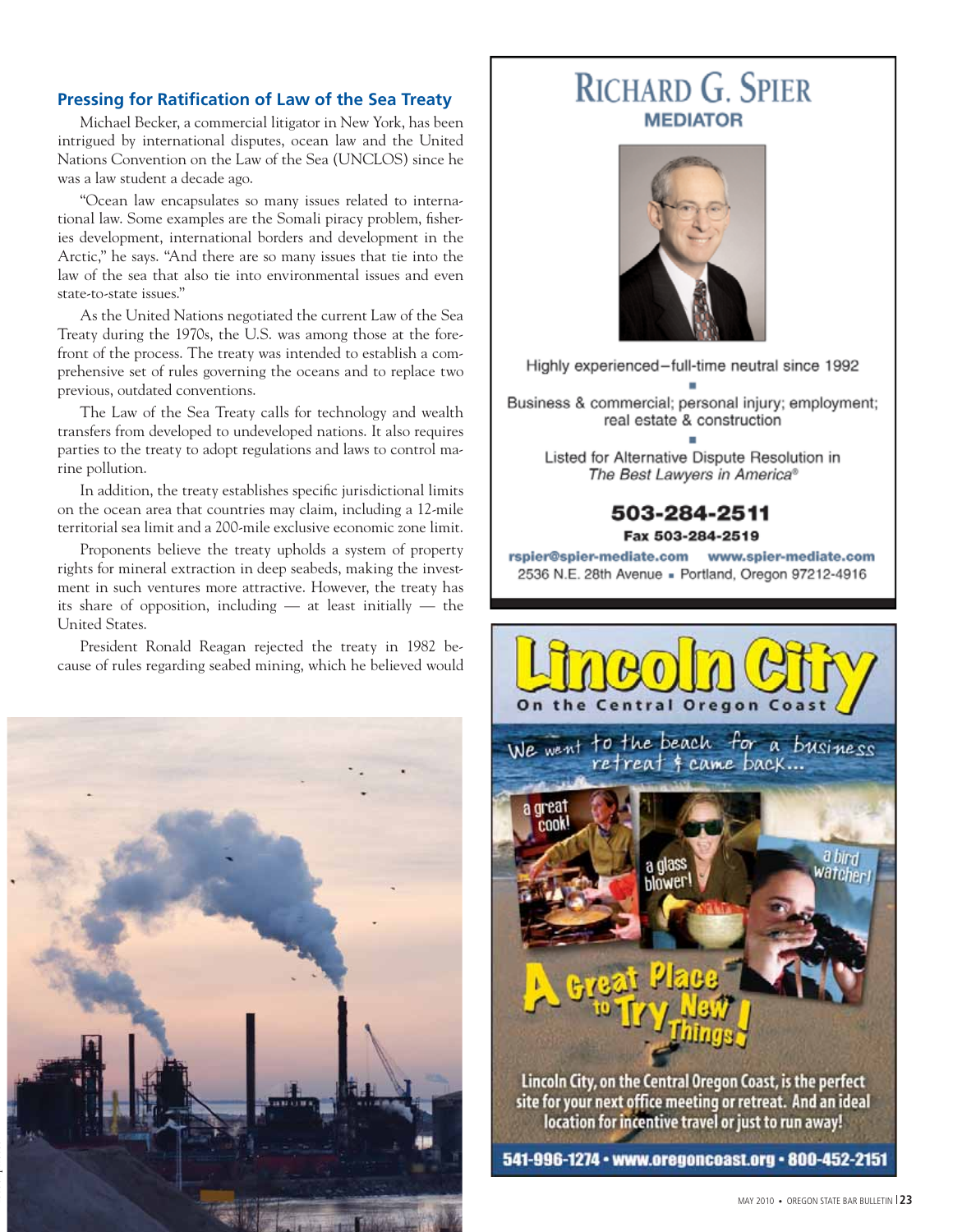### **Pressing for Ratification of Law of the Sea Treaty**

Michael Becker, a commercial litigator in New York, has been intrigued by international disputes, ocean law and the United Nations Convention on the Law of the Sea (UNCLOS) since he was a law student a decade ago.

"Ocean law encapsulates so many issues related to international law. Some examples are the Somali piracy problem, fisheries development, international borders and development in the Arctic," he says. "And there are so many issues that tie into the law of the sea that also tie into environmental issues and even state-to-state issues."

As the United Nations negotiated the current Law of the Sea Treaty during the 1970s, the U.S. was among those at the forefront of the process. The treaty was intended to establish a comprehensive set of rules governing the oceans and to replace two previous, outdated conventions.

The Law of the Sea Treaty calls for technology and wealth transfers from developed to undeveloped nations. It also requires parties to the treaty to adopt regulations and laws to control marine pollution.

In addition, the treaty establishes specific jurisdictional limits on the ocean area that countries may claim, including a 12-mile territorial sea limit and a 200-mile exclusive economic zone limit.

Proponents believe the treaty upholds a system of property rights for mineral extraction in deep seabeds, making the investment in such ventures more attractive. However, the treaty has its share of opposition, including — at least initially — the United States.

President Ronald Reagan rejected the treaty in 1982 because of rules regarding seabed mining, which he believed would



# **RICHARD G. SPIER MEDIATOR**



Highly experienced-full-time neutral since 1992

Business & commercial; personal injury; employment; real estate & construction

> Listed for Alternative Dispute Resolution in The Best Lawyers in America®

## 503-284-2511

Fax 503-284-2519

rspier@spier-mediate.com www.spier-mediate.com 2536 N.E. 28th Avenue - Portland, Oregon 97212-4916